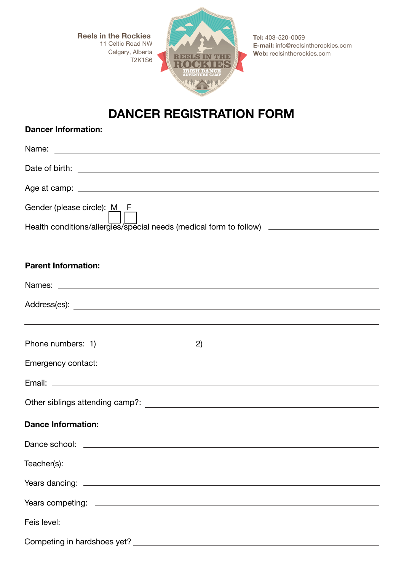**Reels in the Rockies** 11 Celtic Road NW Calgary, Alberta T2K1S6



**Tel:** 403-520-0059 **E-mail:** info@reelsintherockies.com **Web:** reelsintherockies.com

## **DANCER REGISTRATION FORM**

| <b>Dancer Information:</b>                                                                                                                                                                                                           |
|--------------------------------------------------------------------------------------------------------------------------------------------------------------------------------------------------------------------------------------|
|                                                                                                                                                                                                                                      |
| Date of birth: <u>example and a series of the series of the series of the series of the series of the series of the series of the series of the series of the series of the series of the series of the series of the series of </u> |
|                                                                                                                                                                                                                                      |
| Gender (please circle): $M \quad F \quad$<br>Health conditions/allergies/special needs (medical form to follow) ____________________                                                                                                 |
| <b>Parent Information:</b>                                                                                                                                                                                                           |
|                                                                                                                                                                                                                                      |
|                                                                                                                                                                                                                                      |
| ,我们也不会有什么。""我们的人,我们也不会有什么?""我们的人,我们也不会有什么?""我们的人,我们也不会有什么?""我们的人,我们也不会有什么?""我们的人<br>Phone numbers: 1)<br>(2)                                                                                                                         |
|                                                                                                                                                                                                                                      |
|                                                                                                                                                                                                                                      |
| <b>Dance Information:</b>                                                                                                                                                                                                            |
|                                                                                                                                                                                                                                      |
| $Teacher(s):$ $\qquad \qquad$                                                                                                                                                                                                        |
|                                                                                                                                                                                                                                      |
|                                                                                                                                                                                                                                      |
| Feis level:<br><u> 1989 - Johann Stoff, deutscher Stoff, der Stoff, der Stoff, der Stoff, der Stoff, der Stoff, der Stoff, der S</u>                                                                                                 |
|                                                                                                                                                                                                                                      |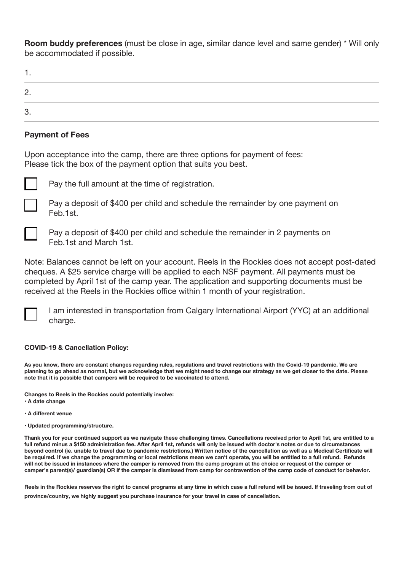**Room buddy preferences** (must be close in age, similar dance level and same gender) \* Will only be accommodated if possible.

| ာ<br><u>.</u> |  |  |
|---------------|--|--|
| ാ<br>ت        |  |  |

## **Payment of Fees**

Upon acceptance into the camp, there are three options for payment of fees: Please tick the box of the payment option that suits you best.



Pay the full amount at the time of registration.



Pay a deposit of \$400 per child and schedule the remainder by one payment on Feb.1st.



Pay a deposit of \$400 per child and schedule the remainder in 2 payments on Feb.1st and March 1st.

Note: Balances cannot be left on your account. Reels in the Rockies does not accept post-dated cheques. A \$25 service charge will be applied to each NSF payment. All payments must be completed by April 1st of the camp year. The application and supporting documents must be received at the Reels in the Rockies office within 1 month of your registration.

I am interested in transportation from Calgary International Airport (YYC) at an additional charge.

## **COVID-19 & Cancellation Policy:**

**As you know, there are constant changes regarding rules, regulations and travel restrictions with the Covid-19 pandemic. We are planning to go ahead as normal, but we acknowledge that we might need to change our strategy as we get closer to the date. Please note that it is possible that campers will be required to be vaccinated to attend.**

**Changes to Reels in the Rockies could potentially involve:**

- **A date change**
- **A different venue**
- **Updated programming/structure.**

**Thank you for your continued support as we navigate these challenging times. Cancellations received prior to April 1st, are entitled to a full refund minus a \$150 administration fee. After April 1st, refunds will only be issued with doctor's notes or due to circumstances beyond control (ie. unable to travel due to pandemic restrictions.) Written notice of the cancellation as well as a Medical Certificate will be required. If we change the programming or local restrictions mean we can't operate, you will be entitled to a full refund. Refunds will not be issued in instances where the camper is removed from the camp program at the choice or request of the camper or camper's parent(s)/ guardian(s) OR if the camper is dismissed from camp for contravention of the camp code of conduct for behavior.**

**Reels in the Rockies reserves the right to cancel programs at any time in which case a full refund will be issued. If traveling from out of province/country, we highly suggest you purchase insurance for your travel in case of cancellation.**